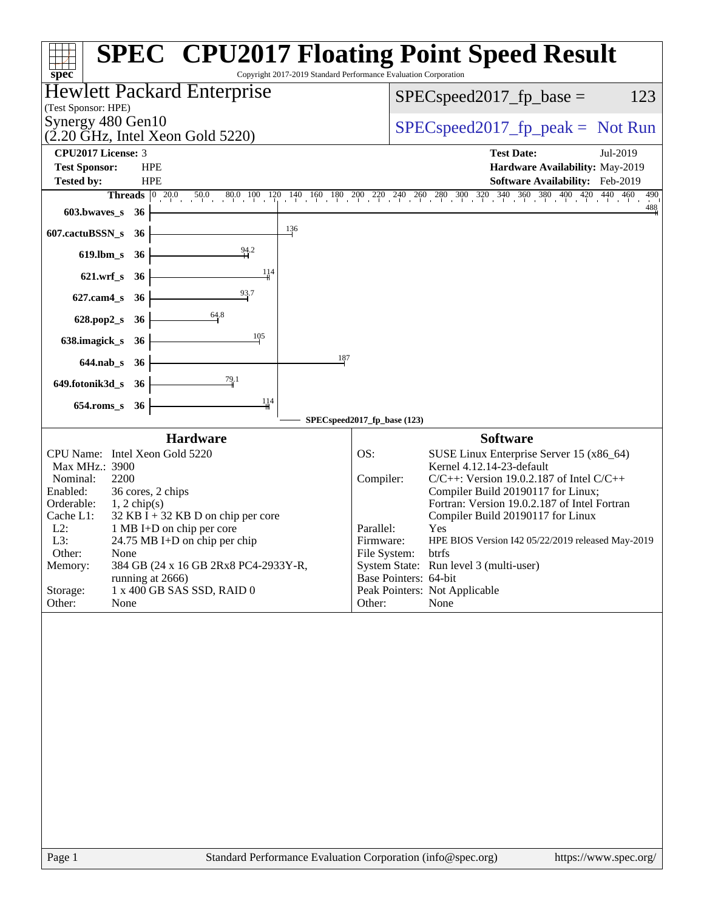| <b>SPEC<sup>®</sup> CPU2017 Floating Point Speed Result</b><br>Copyright 2017-2019 Standard Performance Evaluation Corporation<br>spec <sup>®</sup><br><b>Hewlett Packard Enterprise</b><br>(Test Sponsor: HPE)<br>Synergy 480 Gen10<br>$(2.20 \text{ GHz}, \text{Intel Xeon Gold } 5220)$<br><b>CPU2017 License: 3</b><br><b>HPE</b><br><b>Test Sponsor:</b><br><b>Tested by:</b><br><b>HPE</b><br>Threads 0 20.0 50.0 80.0 100 120 140 160 180 200 220 240 260 280 300 320 340 360 380 400 420 440 460<br>$603.bwaves$ $36$<br>$\frac{136}{1}$<br>607.cactuBSSN_s 36<br>$\frac{94.2}{4}$<br>$619$ .lbm_s<br>- 36<br>114<br>621.wrf_s 36<br>93.7<br>$627$ .cam $4$ <sub>_S</sub><br>- 36<br>64.8<br>628.pop2_s 36<br>105<br>638.imagick_s<br>- 36<br>187<br>644.nab_s 36<br>79.1<br>649.fotonik3d_s 36<br>114<br>654.roms_s 36<br>SPECspeed2017_fp_base (123)<br><b>Hardware</b><br>CPU Name: Intel Xeon Gold 5220<br>OS:<br>Max MHz.: 3900<br>2200<br>Nominal:<br>Compiler:<br>Enabled:<br>36 cores, 2 chips<br>Orderable:<br>$1, 2$ chip(s)<br>Cache L1:<br>$32$ KB I + 32 KB D on chip per core<br>$L2$ :<br>Parallel:<br>1 MB I+D on chip per core<br>L3:<br>24.75 MB I+D on chip per chip<br>Firmware:<br>Other:<br>None<br>File System:<br>Memory:<br>384 GB (24 x 16 GB 2Rx8 PC4-2933Y-R,<br>Base Pointers: 64-bit<br>running at 2666)<br>1 x 400 GB SAS SSD, RAID 0<br>Storage:<br>Other:<br>None<br>Other: |                                                                                                                                                                                                                                                                                                                                                                                                           |
|----------------------------------------------------------------------------------------------------------------------------------------------------------------------------------------------------------------------------------------------------------------------------------------------------------------------------------------------------------------------------------------------------------------------------------------------------------------------------------------------------------------------------------------------------------------------------------------------------------------------------------------------------------------------------------------------------------------------------------------------------------------------------------------------------------------------------------------------------------------------------------------------------------------------------------------------------------------------------------------------------------------------------------------------------------------------------------------------------------------------------------------------------------------------------------------------------------------------------------------------------------------------------------------------------------------------------------------------------------------------------------------------------------------------|-----------------------------------------------------------------------------------------------------------------------------------------------------------------------------------------------------------------------------------------------------------------------------------------------------------------------------------------------------------------------------------------------------------|
|                                                                                                                                                                                                                                                                                                                                                                                                                                                                                                                                                                                                                                                                                                                                                                                                                                                                                                                                                                                                                                                                                                                                                                                                                                                                                                                                                                                                                      |                                                                                                                                                                                                                                                                                                                                                                                                           |
|                                                                                                                                                                                                                                                                                                                                                                                                                                                                                                                                                                                                                                                                                                                                                                                                                                                                                                                                                                                                                                                                                                                                                                                                                                                                                                                                                                                                                      | $SPEC speed2017_fp\_base =$<br>123                                                                                                                                                                                                                                                                                                                                                                        |
|                                                                                                                                                                                                                                                                                                                                                                                                                                                                                                                                                                                                                                                                                                                                                                                                                                                                                                                                                                                                                                                                                                                                                                                                                                                                                                                                                                                                                      |                                                                                                                                                                                                                                                                                                                                                                                                           |
|                                                                                                                                                                                                                                                                                                                                                                                                                                                                                                                                                                                                                                                                                                                                                                                                                                                                                                                                                                                                                                                                                                                                                                                                                                                                                                                                                                                                                      | $SPEC speed2017rfp peak = Not Run$                                                                                                                                                                                                                                                                                                                                                                        |
|                                                                                                                                                                                                                                                                                                                                                                                                                                                                                                                                                                                                                                                                                                                                                                                                                                                                                                                                                                                                                                                                                                                                                                                                                                                                                                                                                                                                                      | <b>Test Date:</b><br>Jul-2019<br>Hardware Availability: May-2019                                                                                                                                                                                                                                                                                                                                          |
|                                                                                                                                                                                                                                                                                                                                                                                                                                                                                                                                                                                                                                                                                                                                                                                                                                                                                                                                                                                                                                                                                                                                                                                                                                                                                                                                                                                                                      | Software Availability: Feb-2019                                                                                                                                                                                                                                                                                                                                                                           |
|                                                                                                                                                                                                                                                                                                                                                                                                                                                                                                                                                                                                                                                                                                                                                                                                                                                                                                                                                                                                                                                                                                                                                                                                                                                                                                                                                                                                                      | 490<br>488                                                                                                                                                                                                                                                                                                                                                                                                |
|                                                                                                                                                                                                                                                                                                                                                                                                                                                                                                                                                                                                                                                                                                                                                                                                                                                                                                                                                                                                                                                                                                                                                                                                                                                                                                                                                                                                                      |                                                                                                                                                                                                                                                                                                                                                                                                           |
|                                                                                                                                                                                                                                                                                                                                                                                                                                                                                                                                                                                                                                                                                                                                                                                                                                                                                                                                                                                                                                                                                                                                                                                                                                                                                                                                                                                                                      |                                                                                                                                                                                                                                                                                                                                                                                                           |
|                                                                                                                                                                                                                                                                                                                                                                                                                                                                                                                                                                                                                                                                                                                                                                                                                                                                                                                                                                                                                                                                                                                                                                                                                                                                                                                                                                                                                      |                                                                                                                                                                                                                                                                                                                                                                                                           |
|                                                                                                                                                                                                                                                                                                                                                                                                                                                                                                                                                                                                                                                                                                                                                                                                                                                                                                                                                                                                                                                                                                                                                                                                                                                                                                                                                                                                                      |                                                                                                                                                                                                                                                                                                                                                                                                           |
|                                                                                                                                                                                                                                                                                                                                                                                                                                                                                                                                                                                                                                                                                                                                                                                                                                                                                                                                                                                                                                                                                                                                                                                                                                                                                                                                                                                                                      |                                                                                                                                                                                                                                                                                                                                                                                                           |
|                                                                                                                                                                                                                                                                                                                                                                                                                                                                                                                                                                                                                                                                                                                                                                                                                                                                                                                                                                                                                                                                                                                                                                                                                                                                                                                                                                                                                      |                                                                                                                                                                                                                                                                                                                                                                                                           |
|                                                                                                                                                                                                                                                                                                                                                                                                                                                                                                                                                                                                                                                                                                                                                                                                                                                                                                                                                                                                                                                                                                                                                                                                                                                                                                                                                                                                                      |                                                                                                                                                                                                                                                                                                                                                                                                           |
|                                                                                                                                                                                                                                                                                                                                                                                                                                                                                                                                                                                                                                                                                                                                                                                                                                                                                                                                                                                                                                                                                                                                                                                                                                                                                                                                                                                                                      |                                                                                                                                                                                                                                                                                                                                                                                                           |
|                                                                                                                                                                                                                                                                                                                                                                                                                                                                                                                                                                                                                                                                                                                                                                                                                                                                                                                                                                                                                                                                                                                                                                                                                                                                                                                                                                                                                      |                                                                                                                                                                                                                                                                                                                                                                                                           |
|                                                                                                                                                                                                                                                                                                                                                                                                                                                                                                                                                                                                                                                                                                                                                                                                                                                                                                                                                                                                                                                                                                                                                                                                                                                                                                                                                                                                                      |                                                                                                                                                                                                                                                                                                                                                                                                           |
|                                                                                                                                                                                                                                                                                                                                                                                                                                                                                                                                                                                                                                                                                                                                                                                                                                                                                                                                                                                                                                                                                                                                                                                                                                                                                                                                                                                                                      | <b>Software</b>                                                                                                                                                                                                                                                                                                                                                                                           |
|                                                                                                                                                                                                                                                                                                                                                                                                                                                                                                                                                                                                                                                                                                                                                                                                                                                                                                                                                                                                                                                                                                                                                                                                                                                                                                                                                                                                                      | SUSE Linux Enterprise Server 15 (x86_64)<br>Kernel 4.12.14-23-default<br>$C/C++$ : Version 19.0.2.187 of Intel $C/C++$<br>Compiler Build 20190117 for Linux;<br>Fortran: Version 19.0.2.187 of Intel Fortran<br>Compiler Build 20190117 for Linux<br>Yes<br>HPE BIOS Version I42 05/22/2019 released May-2019<br>btrfs<br>System State: Run level 3 (multi-user)<br>Peak Pointers: Not Applicable<br>None |
| Standard Performance Evaluation Corporation (info@spec.org)<br>Page 1                                                                                                                                                                                                                                                                                                                                                                                                                                                                                                                                                                                                                                                                                                                                                                                                                                                                                                                                                                                                                                                                                                                                                                                                                                                                                                                                                | https://www.spec.org/                                                                                                                                                                                                                                                                                                                                                                                     |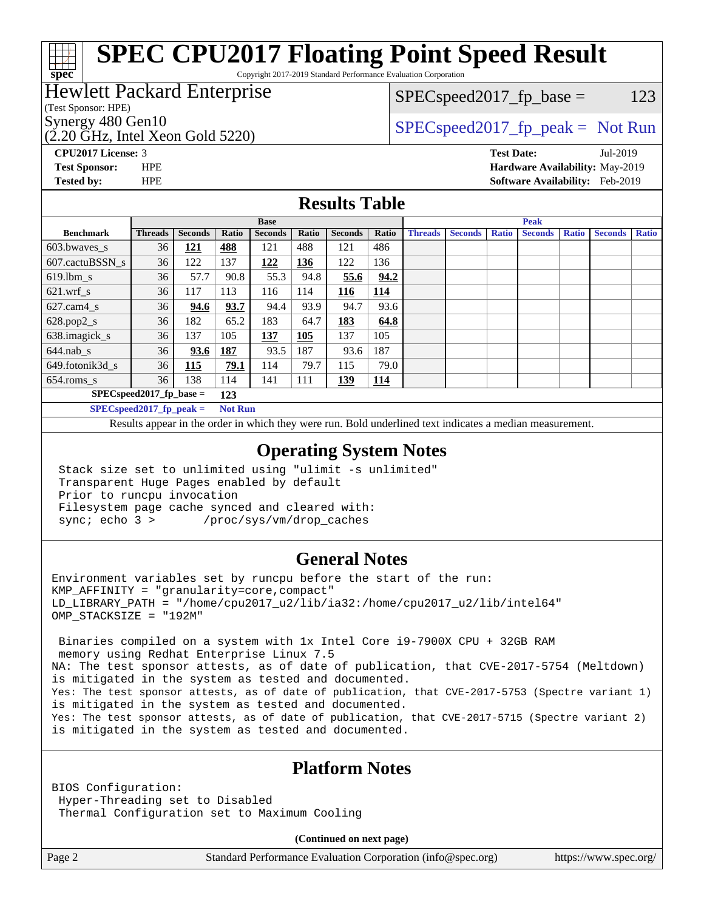# **[SPEC CPU2017 Floating Point Speed Result](http://www.spec.org/auto/cpu2017/Docs/result-fields.html#SPECCPU2017FloatingPointSpeedResult)**

Copyright 2017-2019 Standard Performance Evaluation Corporation

### Hewlett Packard Enterprise

### $SPEC speed2017_fp\_base = 123$

(Test Sponsor: HPE)

**[spec](http://www.spec.org/)**

(2.20 GHz, Intel Xeon Gold 5220)

Synergy 480 Gen10  $SPEC speed2017$  fp\_peak = Not Run

**[CPU2017 License:](http://www.spec.org/auto/cpu2017/Docs/result-fields.html#CPU2017License)** 3 **[Test Date:](http://www.spec.org/auto/cpu2017/Docs/result-fields.html#TestDate)** Jul-2019 **[Test Sponsor:](http://www.spec.org/auto/cpu2017/Docs/result-fields.html#TestSponsor)** HPE **[Hardware Availability:](http://www.spec.org/auto/cpu2017/Docs/result-fields.html#HardwareAvailability)** May-2019 **[Tested by:](http://www.spec.org/auto/cpu2017/Docs/result-fields.html#Testedby)** HPE **[Software Availability:](http://www.spec.org/auto/cpu2017/Docs/result-fields.html#SoftwareAvailability)** Feb-2019

### **[Results Table](http://www.spec.org/auto/cpu2017/Docs/result-fields.html#ResultsTable)**

|                                   | <b>Base</b>                |                |                |                | <b>Peak</b> |                |            |                |                |              |                |              |                |              |
|-----------------------------------|----------------------------|----------------|----------------|----------------|-------------|----------------|------------|----------------|----------------|--------------|----------------|--------------|----------------|--------------|
| <b>Benchmark</b>                  | <b>Threads</b>             | <b>Seconds</b> | Ratio          | <b>Seconds</b> | Ratio       | <b>Seconds</b> | Ratio      | <b>Threads</b> | <b>Seconds</b> | <b>Ratio</b> | <b>Seconds</b> | <b>Ratio</b> | <b>Seconds</b> | <b>Ratio</b> |
| 603.bwayes s                      | 36                         | <u>121</u>     | 488            | 121            | 488         | 121            | 486        |                |                |              |                |              |                |              |
| 607.cactuBSSN s                   | 36                         | 122            | 137            | 122            | 136         | 122            | 136        |                |                |              |                |              |                |              |
| $619.$ lbm s                      | 36                         | 57.7           | 90.8           | 55.3           | 94.8        | 55.6           | 94.2       |                |                |              |                |              |                |              |
| $621.wrf$ s                       | 36                         | 117            | 113            | 116            | 114         | 116            | 114        |                |                |              |                |              |                |              |
| $627.cam4_s$                      | 36                         | 94.6           | 93.7           | 94.4           | 93.9        | 94.7           | 93.6       |                |                |              |                |              |                |              |
| $628.pop2_s$                      | 36                         | 182            | 65.2           | 183            | 64.7        | 183            | 64.8       |                |                |              |                |              |                |              |
| 638.imagick_s                     | 36                         | 137            | 105            | 137            | 105         | 137            | 105        |                |                |              |                |              |                |              |
| $644$ .nab s                      | 36                         | 93.6           | 187            | 93.5           | 187         | 93.6           | 187        |                |                |              |                |              |                |              |
| 649.fotonik3d s                   | 36                         | 115            | 79.1           | 114            | 79.7        | 115            | 79.0       |                |                |              |                |              |                |              |
| $654$ .roms s                     | 36                         | 138            | 114            | 141            | 111         | <u>139</u>     | <u>114</u> |                |                |              |                |              |                |              |
| $SPEC speed2017$ fp base =<br>123 |                            |                |                |                |             |                |            |                |                |              |                |              |                |              |
|                                   | $SPECspeed2017_fp\_peak =$ |                | <b>Not Run</b> |                |             |                |            |                |                |              |                |              |                |              |

Results appear in the [order in which they were run.](http://www.spec.org/auto/cpu2017/Docs/result-fields.html#RunOrder) Bold underlined text [indicates a median measurement](http://www.spec.org/auto/cpu2017/Docs/result-fields.html#Median).

### **[Operating System Notes](http://www.spec.org/auto/cpu2017/Docs/result-fields.html#OperatingSystemNotes)**

 Stack size set to unlimited using "ulimit -s unlimited" Transparent Huge Pages enabled by default Prior to runcpu invocation Filesystem page cache synced and cleared with: sync; echo 3 > /proc/sys/vm/drop\_caches

### **[General Notes](http://www.spec.org/auto/cpu2017/Docs/result-fields.html#GeneralNotes)**

Environment variables set by runcpu before the start of the run: KMP\_AFFINITY = "granularity=core,compact" LD\_LIBRARY\_PATH = "/home/cpu2017\_u2/lib/ia32:/home/cpu2017\_u2/lib/intel64" OMP\_STACKSIZE = "192M"

 Binaries compiled on a system with 1x Intel Core i9-7900X CPU + 32GB RAM memory using Redhat Enterprise Linux 7.5 NA: The test sponsor attests, as of date of publication, that CVE-2017-5754 (Meltdown) is mitigated in the system as tested and documented. Yes: The test sponsor attests, as of date of publication, that CVE-2017-5753 (Spectre variant 1) is mitigated in the system as tested and documented. Yes: The test sponsor attests, as of date of publication, that CVE-2017-5715 (Spectre variant 2) is mitigated in the system as tested and documented.

### **[Platform Notes](http://www.spec.org/auto/cpu2017/Docs/result-fields.html#PlatformNotes)**

BIOS Configuration: Hyper-Threading set to Disabled Thermal Configuration set to Maximum Cooling

**(Continued on next page)**

Page 2 Standard Performance Evaluation Corporation [\(info@spec.org\)](mailto:info@spec.org) <https://www.spec.org/>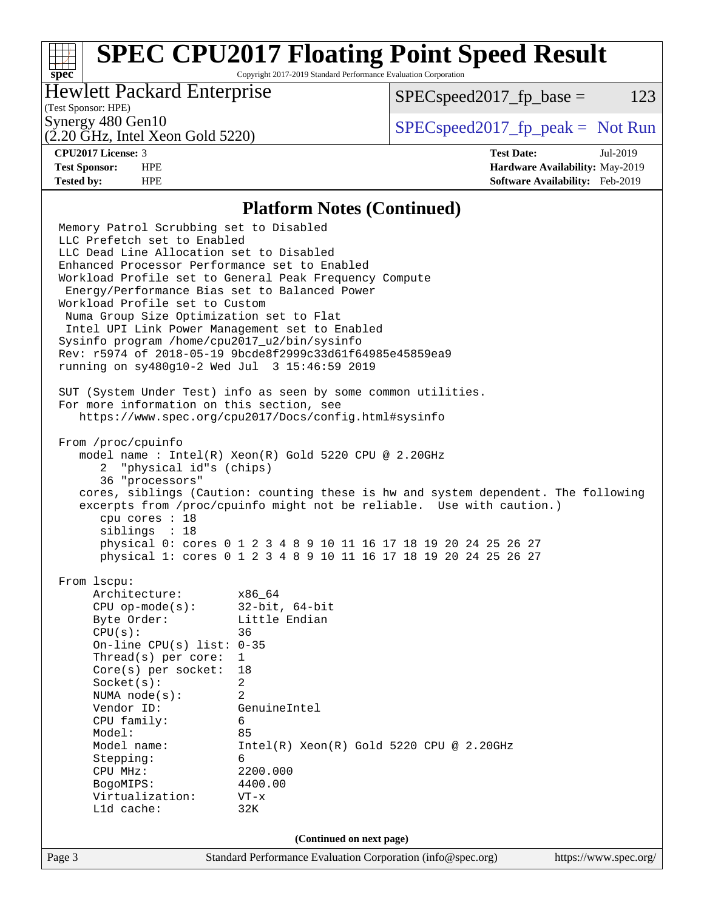# **[SPEC CPU2017 Floating Point Speed Result](http://www.spec.org/auto/cpu2017/Docs/result-fields.html#SPECCPU2017FloatingPointSpeedResult)**

Copyright 2017-2019 Standard Performance Evaluation Corporation

### Hewlett Packard Enterprise

 $SPEC speed2017_fp\_base = 123$ 

### (Test Sponsor: HPE)

(2.20 GHz, Intel Xeon Gold 5220)

Synergy 480 Gen10<br>  $SPEC speed2017<sub>rfp</sub> peak = Not Run$ 

**[spec](http://www.spec.org/)**

**[CPU2017 License:](http://www.spec.org/auto/cpu2017/Docs/result-fields.html#CPU2017License)** 3 **[Test Date:](http://www.spec.org/auto/cpu2017/Docs/result-fields.html#TestDate)** Jul-2019 **[Test Sponsor:](http://www.spec.org/auto/cpu2017/Docs/result-fields.html#TestSponsor)** HPE **[Hardware Availability:](http://www.spec.org/auto/cpu2017/Docs/result-fields.html#HardwareAvailability)** May-2019 **[Tested by:](http://www.spec.org/auto/cpu2017/Docs/result-fields.html#Testedby)** HPE **[Software Availability:](http://www.spec.org/auto/cpu2017/Docs/result-fields.html#SoftwareAvailability)** Feb-2019

### **[Platform Notes \(Continued\)](http://www.spec.org/auto/cpu2017/Docs/result-fields.html#PlatformNotes)**

Page 3 Standard Performance Evaluation Corporation [\(info@spec.org\)](mailto:info@spec.org) <https://www.spec.org/> Memory Patrol Scrubbing set to Disabled LLC Prefetch set to Enabled LLC Dead Line Allocation set to Disabled Enhanced Processor Performance set to Enabled Workload Profile set to General Peak Frequency Compute Energy/Performance Bias set to Balanced Power Workload Profile set to Custom Numa Group Size Optimization set to Flat Intel UPI Link Power Management set to Enabled Sysinfo program /home/cpu2017\_u2/bin/sysinfo Rev: r5974 of 2018-05-19 9bcde8f2999c33d61f64985e45859ea9 running on sy480g10-2 Wed Jul 3 15:46:59 2019 SUT (System Under Test) info as seen by some common utilities. For more information on this section, see <https://www.spec.org/cpu2017/Docs/config.html#sysinfo> From /proc/cpuinfo model name : Intel(R) Xeon(R) Gold 5220 CPU @ 2.20GHz 2 "physical id"s (chips) 36 "processors" cores, siblings (Caution: counting these is hw and system dependent. The following excerpts from /proc/cpuinfo might not be reliable. Use with caution.) cpu cores : 18 siblings : 18 physical 0: cores 0 1 2 3 4 8 9 10 11 16 17 18 19 20 24 25 26 27 physical 1: cores 0 1 2 3 4 8 9 10 11 16 17 18 19 20 24 25 26 27 From lscpu: Architecture: x86\_64 CPU op-mode(s): 32-bit, 64-bit Byte Order: Little Endian CPU(s): 36 On-line CPU(s) list: 0-35 Thread(s) per core: 1 Core(s) per socket: 18 Socket(s): 2 NUMA node(s): 2 Vendor ID: GenuineIntel CPU family: 6 Model: 85 Model name: Intel(R) Xeon(R) Gold 5220 CPU @ 2.20GHz Stepping: 6 CPU MHz: 2200.000 BogoMIPS: 4400.00 Virtualization: VT-x L1d cache: 32K **(Continued on next page)**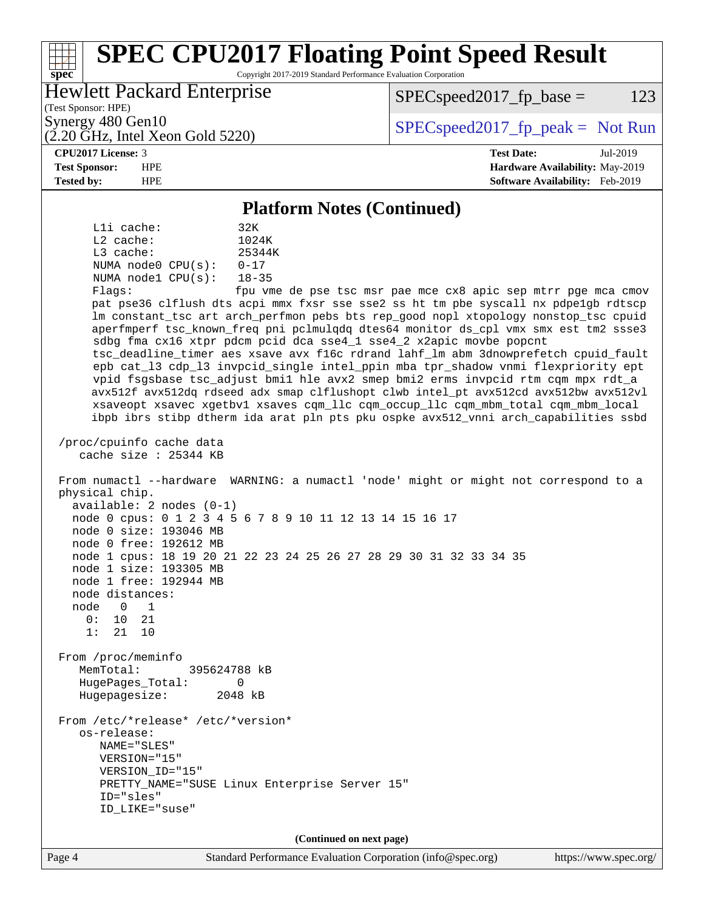#### Page 4 Standard Performance Evaluation Corporation [\(info@spec.org\)](mailto:info@spec.org) <https://www.spec.org/> **[spec](http://www.spec.org/) [SPEC CPU2017 Floating Point Speed Result](http://www.spec.org/auto/cpu2017/Docs/result-fields.html#SPECCPU2017FloatingPointSpeedResult)** Copyright 2017-2019 Standard Performance Evaluation Corporation (Test Sponsor: HPE) Hewlett Packard Enterprise (2.20 GHz, Intel Xeon Gold 5220) Synergy 480 Gen10  $S^{perg}$  [SPECspeed2017\\_fp\\_peak =](http://www.spec.org/auto/cpu2017/Docs/result-fields.html#SPECspeed2017fppeak) Not Run  $SPEC speed2017_fp\_base = 123$ **[CPU2017 License:](http://www.spec.org/auto/cpu2017/Docs/result-fields.html#CPU2017License)** 3 **[Test Date:](http://www.spec.org/auto/cpu2017/Docs/result-fields.html#TestDate)** Jul-2019 **[Test Sponsor:](http://www.spec.org/auto/cpu2017/Docs/result-fields.html#TestSponsor)** HPE **[Hardware Availability:](http://www.spec.org/auto/cpu2017/Docs/result-fields.html#HardwareAvailability)** May-2019 **[Tested by:](http://www.spec.org/auto/cpu2017/Docs/result-fields.html#Testedby)** HPE **[Software Availability:](http://www.spec.org/auto/cpu2017/Docs/result-fields.html#SoftwareAvailability)** Feb-2019 **[Platform Notes \(Continued\)](http://www.spec.org/auto/cpu2017/Docs/result-fields.html#PlatformNotes)** L1i cache: 32K L2 cache: 1024K L3 cache: 25344K NUMA node0 CPU(s): 0-17 NUMA node1 CPU(s): 18-35 Flags: fpu vme de pse tsc msr pae mce cx8 apic sep mtrr pge mca cmov pat pse36 clflush dts acpi mmx fxsr sse sse2 ss ht tm pbe syscall nx pdpe1gb rdtscp lm constant\_tsc art arch\_perfmon pebs bts rep\_good nopl xtopology nonstop\_tsc cpuid aperfmperf tsc\_known\_freq pni pclmulqdq dtes64 monitor ds\_cpl vmx smx est tm2 ssse3 sdbg fma cx16 xtpr pdcm pcid dca sse4\_1 sse4\_2 x2apic movbe popcnt tsc\_deadline\_timer aes xsave avx f16c rdrand lahf\_lm abm 3dnowprefetch cpuid\_fault epb cat\_l3 cdp\_l3 invpcid\_single intel\_ppin mba tpr\_shadow vnmi flexpriority ept vpid fsgsbase tsc\_adjust bmi1 hle avx2 smep bmi2 erms invpcid rtm cqm mpx rdt\_a avx512f avx512dq rdseed adx smap clflushopt clwb intel\_pt avx512cd avx512bw avx512vl xsaveopt xsavec xgetbv1 xsaves cqm\_llc cqm\_occup\_llc cqm\_mbm\_total cqm\_mbm\_local ibpb ibrs stibp dtherm ida arat pln pts pku ospke avx512\_vnni arch\_capabilities ssbd /proc/cpuinfo cache data cache size : 25344 KB From numactl --hardware WARNING: a numactl 'node' might or might not correspond to a physical chip. available: 2 nodes (0-1) node 0 cpus: 0 1 2 3 4 5 6 7 8 9 10 11 12 13 14 15 16 17 node 0 size: 193046 MB node 0 free: 192612 MB node 1 cpus: 18 19 20 21 22 23 24 25 26 27 28 29 30 31 32 33 34 35 node 1 size: 193305 MB node 1 free: 192944 MB node distances: node 0 1  $0: 10 21$  1: 21 10 From /proc/meminfo MemTotal: 395624788 kB HugePages\_Total: 0 Hugepagesize: 2048 kB From /etc/\*release\* /etc/\*version\* os-release: NAME="SLES" VERSION="15" VERSION\_ID="15" PRETTY\_NAME="SUSE Linux Enterprise Server 15" ID="sles" ID\_LIKE="suse" **(Continued on next page)**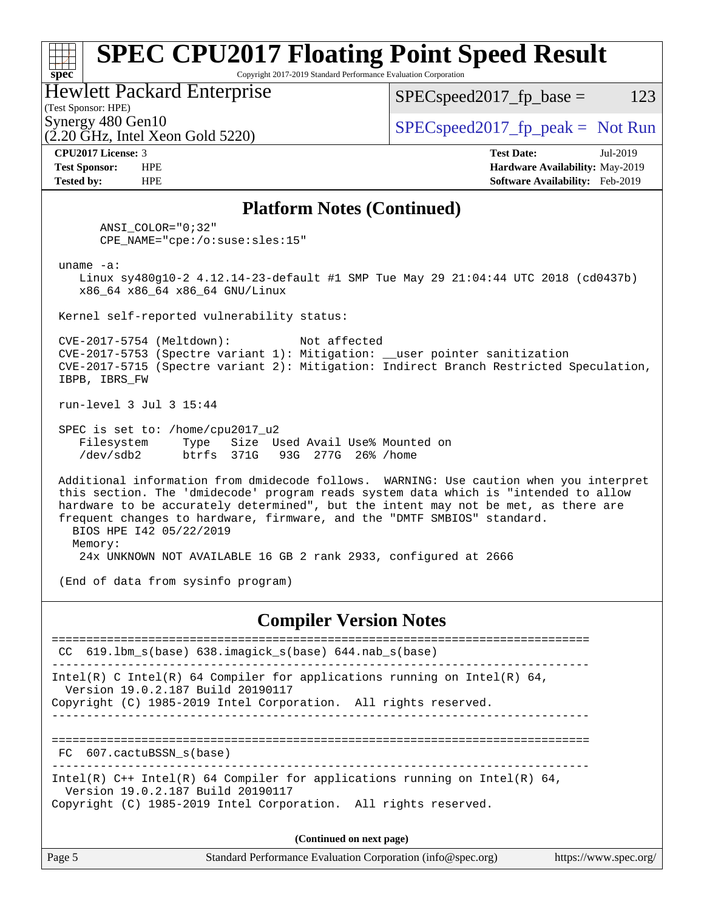### **[spec](http://www.spec.org/) [SPEC CPU2017 Floating Point Speed Result](http://www.spec.org/auto/cpu2017/Docs/result-fields.html#SPECCPU2017FloatingPointSpeedResult)** Copyright 2017-2019 Standard Performance Evaluation Corporation (Test Sponsor: HPE) Hewlett Packard Enterprise  $(2.20 \text{ GHz}, \text{Intel Xeon}$  Gold 5220) Synergy 480 Gen10<br>  $SPEC speed2017$  [p\_peak = Not Run  $SPEC speed2017_fp\_base = 123$ **[CPU2017 License:](http://www.spec.org/auto/cpu2017/Docs/result-fields.html#CPU2017License)** 3 **[Test Date:](http://www.spec.org/auto/cpu2017/Docs/result-fields.html#TestDate)** Jul-2019 **[Test Sponsor:](http://www.spec.org/auto/cpu2017/Docs/result-fields.html#TestSponsor)** HPE **[Hardware Availability:](http://www.spec.org/auto/cpu2017/Docs/result-fields.html#HardwareAvailability)** May-2019 **[Tested by:](http://www.spec.org/auto/cpu2017/Docs/result-fields.html#Testedby)** HPE **[Software Availability:](http://www.spec.org/auto/cpu2017/Docs/result-fields.html#SoftwareAvailability)** Feb-2019 **[Platform Notes \(Continued\)](http://www.spec.org/auto/cpu2017/Docs/result-fields.html#PlatformNotes)** ANSI\_COLOR="0;32" CPE\_NAME="cpe:/o:suse:sles:15" uname -a: Linux sy480g10-2 4.12.14-23-default #1 SMP Tue May 29 21:04:44 UTC 2018 (cd0437b) x86\_64 x86\_64 x86\_64 GNU/Linux Kernel self-reported vulnerability status: CVE-2017-5754 (Meltdown): Not affected CVE-2017-5753 (Spectre variant 1): Mitigation: \_\_user pointer sanitization CVE-2017-5715 (Spectre variant 2): Mitigation: Indirect Branch Restricted Speculation, IBPB, IBRS\_FW run-level 3 Jul 3 15:44 SPEC is set to: /home/cpu2017\_u2 Filesystem Type Size Used Avail Use% Mounted on /dev/sdb2 btrfs 371G 93G 277G 26% /home Additional information from dmidecode follows. WARNING: Use caution when you interpret this section. The 'dmidecode' program reads system data which is "intended to allow hardware to be accurately determined", but the intent may not be met, as there are frequent changes to hardware, firmware, and the "DMTF SMBIOS" standard. BIOS HPE I42 05/22/2019 Memory: 24x UNKNOWN NOT AVAILABLE 16 GB 2 rank 2933, configured at 2666 (End of data from sysinfo program) **[Compiler Version Notes](http://www.spec.org/auto/cpu2017/Docs/result-fields.html#CompilerVersionNotes)** ============================================================================== CC 619.lbm\_s(base) 638.imagick\_s(base) 644.nab\_s(base) ------------------------------------------------------------------------------ Intel(R) C Intel(R) 64 Compiler for applications running on Intel(R)  $64$ , Version 19.0.2.187 Build 20190117 Copyright (C) 1985-2019 Intel Corporation. All rights reserved. ------------------------------------------------------------------------------ ============================================================================== FC 607.cactuBSSN\_s(base) ------------------------------------------------------------------------------ Intel(R) C++ Intel(R) 64 Compiler for applications running on Intel(R) 64, Version 19.0.2.187 Build 20190117 Copyright (C) 1985-2019 Intel Corporation. All rights reserved. **(Continued on next page)**

| Page 5 | Standard Performance Evaluation Corporation (info@spec.org) | https://www.spec.org/ |
|--------|-------------------------------------------------------------|-----------------------|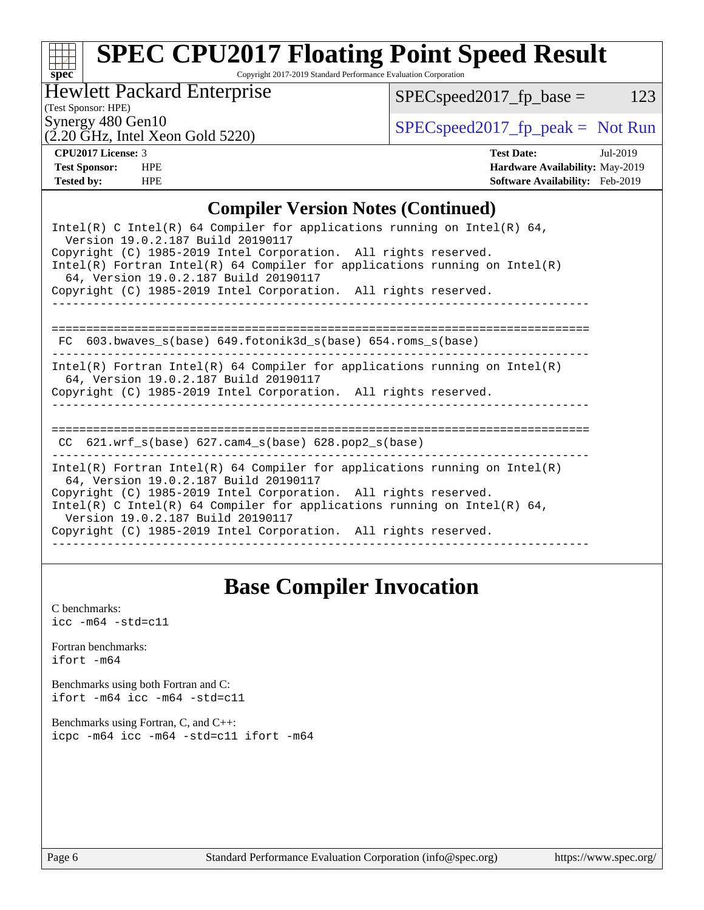# **[spec](http://www.spec.org/)**

# **[SPEC CPU2017 Floating Point Speed Result](http://www.spec.org/auto/cpu2017/Docs/result-fields.html#SPECCPU2017FloatingPointSpeedResult)**

Copyright 2017-2019 Standard Performance Evaluation Corporation

Hewlett Packard Enterprise

 $(2.20 \text{ }\overline{\text{GHz}}$ , Intel Xeon Gold 5220)

 $SPEC speed2017_fp\_base = 123$ 

(Test Sponsor: HPE)

Synergy 480 Gen10<br>  $SPEC speed2017<sub>rfp</sub> peak = Not Run$ 

**[CPU2017 License:](http://www.spec.org/auto/cpu2017/Docs/result-fields.html#CPU2017License)** 3 **[Test Date:](http://www.spec.org/auto/cpu2017/Docs/result-fields.html#TestDate)** Jul-2019 **[Test Sponsor:](http://www.spec.org/auto/cpu2017/Docs/result-fields.html#TestSponsor)** HPE **[Hardware Availability:](http://www.spec.org/auto/cpu2017/Docs/result-fields.html#HardwareAvailability)** May-2019 **[Tested by:](http://www.spec.org/auto/cpu2017/Docs/result-fields.html#Testedby)** HPE **[Software Availability:](http://www.spec.org/auto/cpu2017/Docs/result-fields.html#SoftwareAvailability)** Feb-2019

### **[Compiler Version Notes \(Continued\)](http://www.spec.org/auto/cpu2017/Docs/result-fields.html#CompilerVersionNotes)**

| Intel(R) C Intel(R) 64 Compiler for applications running on Intel(R) 64,<br>Version 19.0.2.187 Build 20190117<br>Copyright (C) 1985-2019 Intel Corporation. All rights reserved.<br>$Intel(R)$ Fortran Intel(R) 64 Compiler for applications running on Intel(R)<br>64, Version 19.0.2.187 Build 20190117<br>Copyright (C) 1985-2019 Intel Corporation. All rights reserved. |
|------------------------------------------------------------------------------------------------------------------------------------------------------------------------------------------------------------------------------------------------------------------------------------------------------------------------------------------------------------------------------|
| 603.bwaves s(base) 649.fotonik3d s(base) 654.roms s(base)<br>FC.                                                                                                                                                                                                                                                                                                             |
| Intel(R) Fortran Intel(R) 64 Compiler for applications running on Intel(R)<br>64, Version 19.0.2.187 Build 20190117<br>Copyright (C) 1985-2019 Intel Corporation. All rights reserved.                                                                                                                                                                                       |
| CC $621.$ wrf $s(base)$ $627.$ cam4 $s(base)$ $628.$ pop2 $s(base)$                                                                                                                                                                                                                                                                                                          |
| Intel(R) Fortran Intel(R) 64 Compiler for applications running on Intel(R)<br>64, Version 19.0.2.187 Build 20190117<br>Copyright (C) 1985-2019 Intel Corporation. All rights reserved.<br>Intel(R) C Intel(R) 64 Compiler for applications running on Intel(R) 64,<br>Version 19.0.2.187 Build 20190117<br>Copyright (C) 1985-2019 Intel Corporation. All rights reserved.   |

## **[Base Compiler Invocation](http://www.spec.org/auto/cpu2017/Docs/result-fields.html#BaseCompilerInvocation)**

[C benchmarks](http://www.spec.org/auto/cpu2017/Docs/result-fields.html#Cbenchmarks):  $\text{icc}$  -m64 -std=c11 [Fortran benchmarks](http://www.spec.org/auto/cpu2017/Docs/result-fields.html#Fortranbenchmarks): [ifort -m64](http://www.spec.org/cpu2017/results/res2019q3/cpu2017-20190709-16129.flags.html#user_FCbase_intel_ifort_64bit_24f2bb282fbaeffd6157abe4f878425411749daecae9a33200eee2bee2fe76f3b89351d69a8130dd5949958ce389cf37ff59a95e7a40d588e8d3a57e0c3fd751) [Benchmarks using both Fortran and C](http://www.spec.org/auto/cpu2017/Docs/result-fields.html#BenchmarksusingbothFortranandC): [ifort -m64](http://www.spec.org/cpu2017/results/res2019q3/cpu2017-20190709-16129.flags.html#user_CC_FCbase_intel_ifort_64bit_24f2bb282fbaeffd6157abe4f878425411749daecae9a33200eee2bee2fe76f3b89351d69a8130dd5949958ce389cf37ff59a95e7a40d588e8d3a57e0c3fd751) [icc -m64 -std=c11](http://www.spec.org/cpu2017/results/res2019q3/cpu2017-20190709-16129.flags.html#user_CC_FCbase_intel_icc_64bit_c11_33ee0cdaae7deeeab2a9725423ba97205ce30f63b9926c2519791662299b76a0318f32ddfffdc46587804de3178b4f9328c46fa7c2b0cd779d7a61945c91cd35) [Benchmarks using Fortran, C, and C++:](http://www.spec.org/auto/cpu2017/Docs/result-fields.html#BenchmarksusingFortranCandCXX) [icpc -m64](http://www.spec.org/cpu2017/results/res2019q3/cpu2017-20190709-16129.flags.html#user_CC_CXX_FCbase_intel_icpc_64bit_4ecb2543ae3f1412ef961e0650ca070fec7b7afdcd6ed48761b84423119d1bf6bdf5cad15b44d48e7256388bc77273b966e5eb805aefd121eb22e9299b2ec9d9) [icc -m64 -std=c11](http://www.spec.org/cpu2017/results/res2019q3/cpu2017-20190709-16129.flags.html#user_CC_CXX_FCbase_intel_icc_64bit_c11_33ee0cdaae7deeeab2a9725423ba97205ce30f63b9926c2519791662299b76a0318f32ddfffdc46587804de3178b4f9328c46fa7c2b0cd779d7a61945c91cd35) [ifort -m64](http://www.spec.org/cpu2017/results/res2019q3/cpu2017-20190709-16129.flags.html#user_CC_CXX_FCbase_intel_ifort_64bit_24f2bb282fbaeffd6157abe4f878425411749daecae9a33200eee2bee2fe76f3b89351d69a8130dd5949958ce389cf37ff59a95e7a40d588e8d3a57e0c3fd751)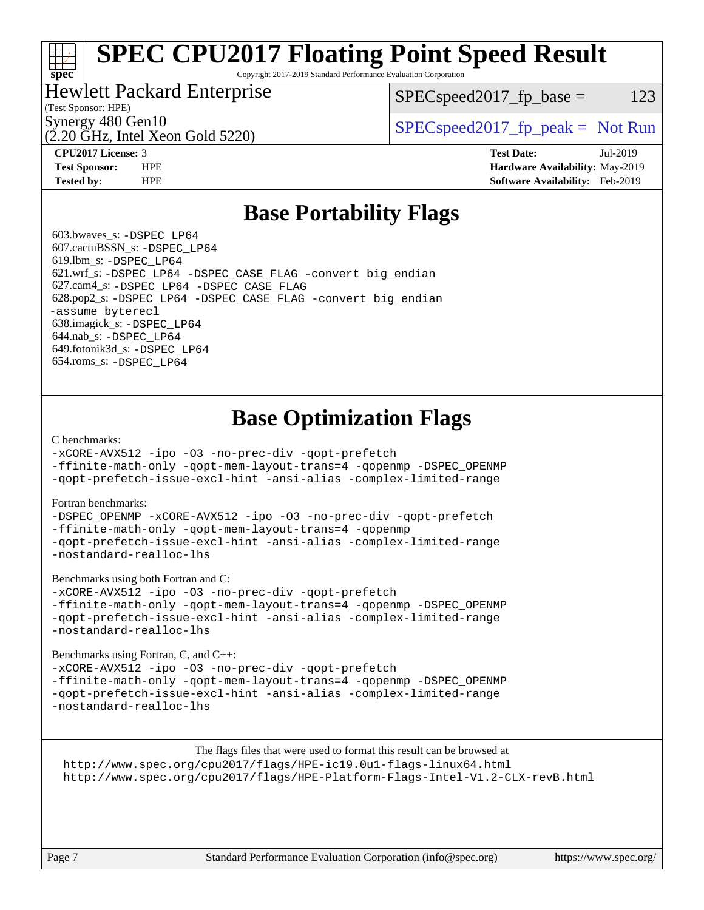# **[SPEC CPU2017 Floating Point Speed Result](http://www.spec.org/auto/cpu2017/Docs/result-fields.html#SPECCPU2017FloatingPointSpeedResult)**

Copyright 2017-2019 Standard Performance Evaluation Corporation

### Hewlett Packard Enterprise

 $SPEC speed2017_fp\_base = 123$ 

### (Test Sponsor: HPE)

(2.20 GHz, Intel Xeon Gold 5220)

Synergy 480 Gen10<br>  $SPEC speed2017<sub>rfp</sub> peak = Not Run$ 

**[spec](http://www.spec.org/)**

**[CPU2017 License:](http://www.spec.org/auto/cpu2017/Docs/result-fields.html#CPU2017License)** 3 **[Test Date:](http://www.spec.org/auto/cpu2017/Docs/result-fields.html#TestDate)** Jul-2019 **[Test Sponsor:](http://www.spec.org/auto/cpu2017/Docs/result-fields.html#TestSponsor)** HPE **[Hardware Availability:](http://www.spec.org/auto/cpu2017/Docs/result-fields.html#HardwareAvailability)** May-2019 **[Tested by:](http://www.spec.org/auto/cpu2017/Docs/result-fields.html#Testedby)** HPE **[Software Availability:](http://www.spec.org/auto/cpu2017/Docs/result-fields.html#SoftwareAvailability)** Feb-2019

### **[Base Portability Flags](http://www.spec.org/auto/cpu2017/Docs/result-fields.html#BasePortabilityFlags)**

 603.bwaves\_s: [-DSPEC\\_LP64](http://www.spec.org/cpu2017/results/res2019q3/cpu2017-20190709-16129.flags.html#suite_basePORTABILITY603_bwaves_s_DSPEC_LP64) 607.cactuBSSN\_s: [-DSPEC\\_LP64](http://www.spec.org/cpu2017/results/res2019q3/cpu2017-20190709-16129.flags.html#suite_basePORTABILITY607_cactuBSSN_s_DSPEC_LP64) 619.lbm\_s: [-DSPEC\\_LP64](http://www.spec.org/cpu2017/results/res2019q3/cpu2017-20190709-16129.flags.html#suite_basePORTABILITY619_lbm_s_DSPEC_LP64) 621.wrf\_s: [-DSPEC\\_LP64](http://www.spec.org/cpu2017/results/res2019q3/cpu2017-20190709-16129.flags.html#suite_basePORTABILITY621_wrf_s_DSPEC_LP64) [-DSPEC\\_CASE\\_FLAG](http://www.spec.org/cpu2017/results/res2019q3/cpu2017-20190709-16129.flags.html#b621.wrf_s_baseCPORTABILITY_DSPEC_CASE_FLAG) [-convert big\\_endian](http://www.spec.org/cpu2017/results/res2019q3/cpu2017-20190709-16129.flags.html#user_baseFPORTABILITY621_wrf_s_convert_big_endian_c3194028bc08c63ac5d04de18c48ce6d347e4e562e8892b8bdbdc0214820426deb8554edfa529a3fb25a586e65a3d812c835984020483e7e73212c4d31a38223) 627.cam4\_s: [-DSPEC\\_LP64](http://www.spec.org/cpu2017/results/res2019q3/cpu2017-20190709-16129.flags.html#suite_basePORTABILITY627_cam4_s_DSPEC_LP64) [-DSPEC\\_CASE\\_FLAG](http://www.spec.org/cpu2017/results/res2019q3/cpu2017-20190709-16129.flags.html#b627.cam4_s_baseCPORTABILITY_DSPEC_CASE_FLAG) 628.pop2\_s: [-DSPEC\\_LP64](http://www.spec.org/cpu2017/results/res2019q3/cpu2017-20190709-16129.flags.html#suite_basePORTABILITY628_pop2_s_DSPEC_LP64) [-DSPEC\\_CASE\\_FLAG](http://www.spec.org/cpu2017/results/res2019q3/cpu2017-20190709-16129.flags.html#b628.pop2_s_baseCPORTABILITY_DSPEC_CASE_FLAG) [-convert big\\_endian](http://www.spec.org/cpu2017/results/res2019q3/cpu2017-20190709-16129.flags.html#user_baseFPORTABILITY628_pop2_s_convert_big_endian_c3194028bc08c63ac5d04de18c48ce6d347e4e562e8892b8bdbdc0214820426deb8554edfa529a3fb25a586e65a3d812c835984020483e7e73212c4d31a38223) [-assume byterecl](http://www.spec.org/cpu2017/results/res2019q3/cpu2017-20190709-16129.flags.html#user_baseFPORTABILITY628_pop2_s_assume_byterecl_7e47d18b9513cf18525430bbf0f2177aa9bf368bc7a059c09b2c06a34b53bd3447c950d3f8d6c70e3faf3a05c8557d66a5798b567902e8849adc142926523472) 638.imagick\_s: [-DSPEC\\_LP64](http://www.spec.org/cpu2017/results/res2019q3/cpu2017-20190709-16129.flags.html#suite_basePORTABILITY638_imagick_s_DSPEC_LP64) 644.nab\_s: [-DSPEC\\_LP64](http://www.spec.org/cpu2017/results/res2019q3/cpu2017-20190709-16129.flags.html#suite_basePORTABILITY644_nab_s_DSPEC_LP64) 649.fotonik3d\_s: [-DSPEC\\_LP64](http://www.spec.org/cpu2017/results/res2019q3/cpu2017-20190709-16129.flags.html#suite_basePORTABILITY649_fotonik3d_s_DSPEC_LP64) 654.roms\_s: [-DSPEC\\_LP64](http://www.spec.org/cpu2017/results/res2019q3/cpu2017-20190709-16129.flags.html#suite_basePORTABILITY654_roms_s_DSPEC_LP64)

## **[Base Optimization Flags](http://www.spec.org/auto/cpu2017/Docs/result-fields.html#BaseOptimizationFlags)**

#### [C benchmarks](http://www.spec.org/auto/cpu2017/Docs/result-fields.html#Cbenchmarks):

[-xCORE-AVX512](http://www.spec.org/cpu2017/results/res2019q3/cpu2017-20190709-16129.flags.html#user_CCbase_f-xCORE-AVX512) [-ipo](http://www.spec.org/cpu2017/results/res2019q3/cpu2017-20190709-16129.flags.html#user_CCbase_f-ipo) [-O3](http://www.spec.org/cpu2017/results/res2019q3/cpu2017-20190709-16129.flags.html#user_CCbase_f-O3) [-no-prec-div](http://www.spec.org/cpu2017/results/res2019q3/cpu2017-20190709-16129.flags.html#user_CCbase_f-no-prec-div) [-qopt-prefetch](http://www.spec.org/cpu2017/results/res2019q3/cpu2017-20190709-16129.flags.html#user_CCbase_f-qopt-prefetch)

[-ffinite-math-only](http://www.spec.org/cpu2017/results/res2019q3/cpu2017-20190709-16129.flags.html#user_CCbase_f_finite_math_only_cb91587bd2077682c4b38af759c288ed7c732db004271a9512da14a4f8007909a5f1427ecbf1a0fb78ff2a814402c6114ac565ca162485bbcae155b5e4258871) [-qopt-mem-layout-trans=4](http://www.spec.org/cpu2017/results/res2019q3/cpu2017-20190709-16129.flags.html#user_CCbase_f-qopt-mem-layout-trans_fa39e755916c150a61361b7846f310bcdf6f04e385ef281cadf3647acec3f0ae266d1a1d22d972a7087a248fd4e6ca390a3634700869573d231a252c784941a8) [-qopenmp](http://www.spec.org/cpu2017/results/res2019q3/cpu2017-20190709-16129.flags.html#user_CCbase_qopenmp_16be0c44f24f464004c6784a7acb94aca937f053568ce72f94b139a11c7c168634a55f6653758ddd83bcf7b8463e8028bb0b48b77bcddc6b78d5d95bb1df2967) [-DSPEC\\_OPENMP](http://www.spec.org/cpu2017/results/res2019q3/cpu2017-20190709-16129.flags.html#suite_CCbase_DSPEC_OPENMP) [-qopt-prefetch-issue-excl-hint](http://www.spec.org/cpu2017/results/res2019q3/cpu2017-20190709-16129.flags.html#user_CCbase_f-qopt-prefetch-issue-excl-hint) [-ansi-alias](http://www.spec.org/cpu2017/results/res2019q3/cpu2017-20190709-16129.flags.html#user_CCbase_f-ansi-alias) [-complex-limited-range](http://www.spec.org/cpu2017/results/res2019q3/cpu2017-20190709-16129.flags.html#user_CCbase_f-complex-limited-range)

#### [Fortran benchmarks](http://www.spec.org/auto/cpu2017/Docs/result-fields.html#Fortranbenchmarks):

[-DSPEC\\_OPENMP](http://www.spec.org/cpu2017/results/res2019q3/cpu2017-20190709-16129.flags.html#suite_FCbase_DSPEC_OPENMP) [-xCORE-AVX512](http://www.spec.org/cpu2017/results/res2019q3/cpu2017-20190709-16129.flags.html#user_FCbase_f-xCORE-AVX512) [-ipo](http://www.spec.org/cpu2017/results/res2019q3/cpu2017-20190709-16129.flags.html#user_FCbase_f-ipo) [-O3](http://www.spec.org/cpu2017/results/res2019q3/cpu2017-20190709-16129.flags.html#user_FCbase_f-O3) [-no-prec-div](http://www.spec.org/cpu2017/results/res2019q3/cpu2017-20190709-16129.flags.html#user_FCbase_f-no-prec-div) [-qopt-prefetch](http://www.spec.org/cpu2017/results/res2019q3/cpu2017-20190709-16129.flags.html#user_FCbase_f-qopt-prefetch) [-ffinite-math-only](http://www.spec.org/cpu2017/results/res2019q3/cpu2017-20190709-16129.flags.html#user_FCbase_f_finite_math_only_cb91587bd2077682c4b38af759c288ed7c732db004271a9512da14a4f8007909a5f1427ecbf1a0fb78ff2a814402c6114ac565ca162485bbcae155b5e4258871) [-qopt-mem-layout-trans=4](http://www.spec.org/cpu2017/results/res2019q3/cpu2017-20190709-16129.flags.html#user_FCbase_f-qopt-mem-layout-trans_fa39e755916c150a61361b7846f310bcdf6f04e385ef281cadf3647acec3f0ae266d1a1d22d972a7087a248fd4e6ca390a3634700869573d231a252c784941a8) [-qopenmp](http://www.spec.org/cpu2017/results/res2019q3/cpu2017-20190709-16129.flags.html#user_FCbase_qopenmp_16be0c44f24f464004c6784a7acb94aca937f053568ce72f94b139a11c7c168634a55f6653758ddd83bcf7b8463e8028bb0b48b77bcddc6b78d5d95bb1df2967) [-qopt-prefetch-issue-excl-hint](http://www.spec.org/cpu2017/results/res2019q3/cpu2017-20190709-16129.flags.html#user_FCbase_f-qopt-prefetch-issue-excl-hint) [-ansi-alias](http://www.spec.org/cpu2017/results/res2019q3/cpu2017-20190709-16129.flags.html#user_FCbase_f-ansi-alias) [-complex-limited-range](http://www.spec.org/cpu2017/results/res2019q3/cpu2017-20190709-16129.flags.html#user_FCbase_f-complex-limited-range) [-nostandard-realloc-lhs](http://www.spec.org/cpu2017/results/res2019q3/cpu2017-20190709-16129.flags.html#user_FCbase_f_2003_std_realloc_82b4557e90729c0f113870c07e44d33d6f5a304b4f63d4c15d2d0f1fab99f5daaed73bdb9275d9ae411527f28b936061aa8b9c8f2d63842963b95c9dd6426b8a)

[Benchmarks using both Fortran and C](http://www.spec.org/auto/cpu2017/Docs/result-fields.html#BenchmarksusingbothFortranandC):

[-xCORE-AVX512](http://www.spec.org/cpu2017/results/res2019q3/cpu2017-20190709-16129.flags.html#user_CC_FCbase_f-xCORE-AVX512) [-ipo](http://www.spec.org/cpu2017/results/res2019q3/cpu2017-20190709-16129.flags.html#user_CC_FCbase_f-ipo) [-O3](http://www.spec.org/cpu2017/results/res2019q3/cpu2017-20190709-16129.flags.html#user_CC_FCbase_f-O3) [-no-prec-div](http://www.spec.org/cpu2017/results/res2019q3/cpu2017-20190709-16129.flags.html#user_CC_FCbase_f-no-prec-div) [-qopt-prefetch](http://www.spec.org/cpu2017/results/res2019q3/cpu2017-20190709-16129.flags.html#user_CC_FCbase_f-qopt-prefetch) [-ffinite-math-only](http://www.spec.org/cpu2017/results/res2019q3/cpu2017-20190709-16129.flags.html#user_CC_FCbase_f_finite_math_only_cb91587bd2077682c4b38af759c288ed7c732db004271a9512da14a4f8007909a5f1427ecbf1a0fb78ff2a814402c6114ac565ca162485bbcae155b5e4258871) [-qopt-mem-layout-trans=4](http://www.spec.org/cpu2017/results/res2019q3/cpu2017-20190709-16129.flags.html#user_CC_FCbase_f-qopt-mem-layout-trans_fa39e755916c150a61361b7846f310bcdf6f04e385ef281cadf3647acec3f0ae266d1a1d22d972a7087a248fd4e6ca390a3634700869573d231a252c784941a8) [-qopenmp](http://www.spec.org/cpu2017/results/res2019q3/cpu2017-20190709-16129.flags.html#user_CC_FCbase_qopenmp_16be0c44f24f464004c6784a7acb94aca937f053568ce72f94b139a11c7c168634a55f6653758ddd83bcf7b8463e8028bb0b48b77bcddc6b78d5d95bb1df2967) [-DSPEC\\_OPENMP](http://www.spec.org/cpu2017/results/res2019q3/cpu2017-20190709-16129.flags.html#suite_CC_FCbase_DSPEC_OPENMP) [-qopt-prefetch-issue-excl-hint](http://www.spec.org/cpu2017/results/res2019q3/cpu2017-20190709-16129.flags.html#user_CC_FCbase_f-qopt-prefetch-issue-excl-hint) [-ansi-alias](http://www.spec.org/cpu2017/results/res2019q3/cpu2017-20190709-16129.flags.html#user_CC_FCbase_f-ansi-alias) [-complex-limited-range](http://www.spec.org/cpu2017/results/res2019q3/cpu2017-20190709-16129.flags.html#user_CC_FCbase_f-complex-limited-range) [-nostandard-realloc-lhs](http://www.spec.org/cpu2017/results/res2019q3/cpu2017-20190709-16129.flags.html#user_CC_FCbase_f_2003_std_realloc_82b4557e90729c0f113870c07e44d33d6f5a304b4f63d4c15d2d0f1fab99f5daaed73bdb9275d9ae411527f28b936061aa8b9c8f2d63842963b95c9dd6426b8a)

[Benchmarks using Fortran, C, and C++:](http://www.spec.org/auto/cpu2017/Docs/result-fields.html#BenchmarksusingFortranCandCXX)

[-xCORE-AVX512](http://www.spec.org/cpu2017/results/res2019q3/cpu2017-20190709-16129.flags.html#user_CC_CXX_FCbase_f-xCORE-AVX512) [-ipo](http://www.spec.org/cpu2017/results/res2019q3/cpu2017-20190709-16129.flags.html#user_CC_CXX_FCbase_f-ipo) [-O3](http://www.spec.org/cpu2017/results/res2019q3/cpu2017-20190709-16129.flags.html#user_CC_CXX_FCbase_f-O3) [-no-prec-div](http://www.spec.org/cpu2017/results/res2019q3/cpu2017-20190709-16129.flags.html#user_CC_CXX_FCbase_f-no-prec-div) [-qopt-prefetch](http://www.spec.org/cpu2017/results/res2019q3/cpu2017-20190709-16129.flags.html#user_CC_CXX_FCbase_f-qopt-prefetch) [-ffinite-math-only](http://www.spec.org/cpu2017/results/res2019q3/cpu2017-20190709-16129.flags.html#user_CC_CXX_FCbase_f_finite_math_only_cb91587bd2077682c4b38af759c288ed7c732db004271a9512da14a4f8007909a5f1427ecbf1a0fb78ff2a814402c6114ac565ca162485bbcae155b5e4258871) [-qopt-mem-layout-trans=4](http://www.spec.org/cpu2017/results/res2019q3/cpu2017-20190709-16129.flags.html#user_CC_CXX_FCbase_f-qopt-mem-layout-trans_fa39e755916c150a61361b7846f310bcdf6f04e385ef281cadf3647acec3f0ae266d1a1d22d972a7087a248fd4e6ca390a3634700869573d231a252c784941a8) [-qopenmp](http://www.spec.org/cpu2017/results/res2019q3/cpu2017-20190709-16129.flags.html#user_CC_CXX_FCbase_qopenmp_16be0c44f24f464004c6784a7acb94aca937f053568ce72f94b139a11c7c168634a55f6653758ddd83bcf7b8463e8028bb0b48b77bcddc6b78d5d95bb1df2967) [-DSPEC\\_OPENMP](http://www.spec.org/cpu2017/results/res2019q3/cpu2017-20190709-16129.flags.html#suite_CC_CXX_FCbase_DSPEC_OPENMP) [-qopt-prefetch-issue-excl-hint](http://www.spec.org/cpu2017/results/res2019q3/cpu2017-20190709-16129.flags.html#user_CC_CXX_FCbase_f-qopt-prefetch-issue-excl-hint) [-ansi-alias](http://www.spec.org/cpu2017/results/res2019q3/cpu2017-20190709-16129.flags.html#user_CC_CXX_FCbase_f-ansi-alias) [-complex-limited-range](http://www.spec.org/cpu2017/results/res2019q3/cpu2017-20190709-16129.flags.html#user_CC_CXX_FCbase_f-complex-limited-range) [-nostandard-realloc-lhs](http://www.spec.org/cpu2017/results/res2019q3/cpu2017-20190709-16129.flags.html#user_CC_CXX_FCbase_f_2003_std_realloc_82b4557e90729c0f113870c07e44d33d6f5a304b4f63d4c15d2d0f1fab99f5daaed73bdb9275d9ae411527f28b936061aa8b9c8f2d63842963b95c9dd6426b8a)

The flags files that were used to format this result can be browsed at <http://www.spec.org/cpu2017/flags/HPE-ic19.0u1-flags-linux64.html> <http://www.spec.org/cpu2017/flags/HPE-Platform-Flags-Intel-V1.2-CLX-revB.html>